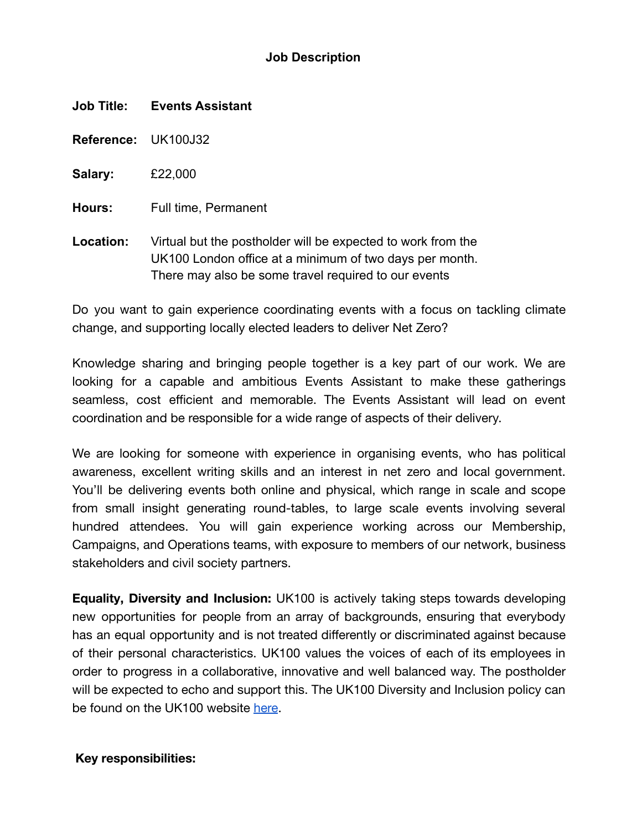### **Job Description**

| <b>Job Title:</b> | <b>Events Assistant</b> |
|-------------------|-------------------------|
|-------------------|-------------------------|

**Reference:** UK100J32

**Salary:** £22,000

**Hours:** Full time, Permanent

**Location:** Virtual but the postholder will be expected to work from the UK100 London office at a minimum of two days per month. There may also be some travel required to our events

Do you want to gain experience coordinating events with a focus on tackling climate change, and supporting locally elected leaders to deliver Net Zero?

Knowledge sharing and bringing people together is a key part of our work. We are looking for a capable and ambitious Events Assistant to make these gatherings seamless, cost efficient and memorable. The Events Assistant will lead on event coordination and be responsible for a wide range of aspects of their delivery.

We are looking for someone with experience in organising events, who has political awareness, excellent writing skills and an interest in net zero and local government. You'll be delivering events both online and physical, which range in scale and scope from small insight generating round-tables, to large scale events involving several hundred attendees. You will gain experience working across our Membership, Campaigns, and Operations teams, with exposure to members of our network, business stakeholders and civil society partners.

**Equality, Diversity and Inclusion:** UK100 is actively taking steps towards developing new opportunities for people from an array of backgrounds, ensuring that everybody has an equal opportunity and is not treated differently or discriminated against because of their personal characteristics. UK100 values the voices of each of its employees in order to progress in a collaborative, innovative and well balanced way. The postholder will be expected to echo and support this. The UK100 Diversity and Inclusion policy can be found on the UK100 website [here](https://www.uk100.org/diversity-and-inclusion-policy).

#### **Key responsibilities:**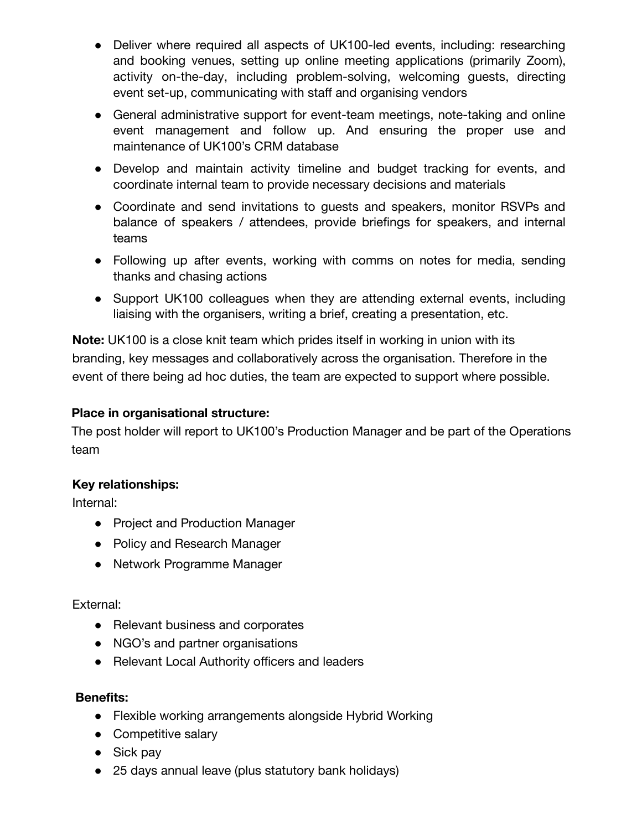- Deliver where required all aspects of UK100-led events, including: researching and booking venues, setting up online meeting applications (primarily Zoom), activity on-the-day, including problem-solving, welcoming guests, directing event set-up, communicating with staff and organising vendors
- General administrative support for event-team meetings, note-taking and online event management and follow up. And ensuring the proper use and maintenance of UK100's CRM database
- Develop and maintain activity timeline and budget tracking for events, and coordinate internal team to provide necessary decisions and materials
- Coordinate and send invitations to quests and speakers, monitor RSVPs and balance of speakers / attendees, provide briefings for speakers, and internal teams
- Following up after events, working with comms on notes for media, sending thanks and chasing actions
- Support UK100 colleagues when they are attending external events, including liaising with the organisers, writing a brief, creating a presentation, etc.

**Note:** UK100 is a close knit team which prides itself in working in union with its branding, key messages and collaboratively across the organisation. Therefore in the event of there being ad hoc duties, the team are expected to support where possible.

# **Place in organisational structure:**

The post holder will report to UK100's Production Manager and be part of the Operations team

### **Key relationships:**

Internal:

- Project and Production Manager
- Policy and Research Manager
- Network Programme Manager

### External:

- Relevant business and corporates
- NGO's and partner organisations
- Relevant Local Authority officers and leaders

### **Benefits:**

- Flexible working arrangements alongside Hybrid Working
- Competitive salary
- Sick pay
- 25 days annual leave (plus statutory bank holidays)